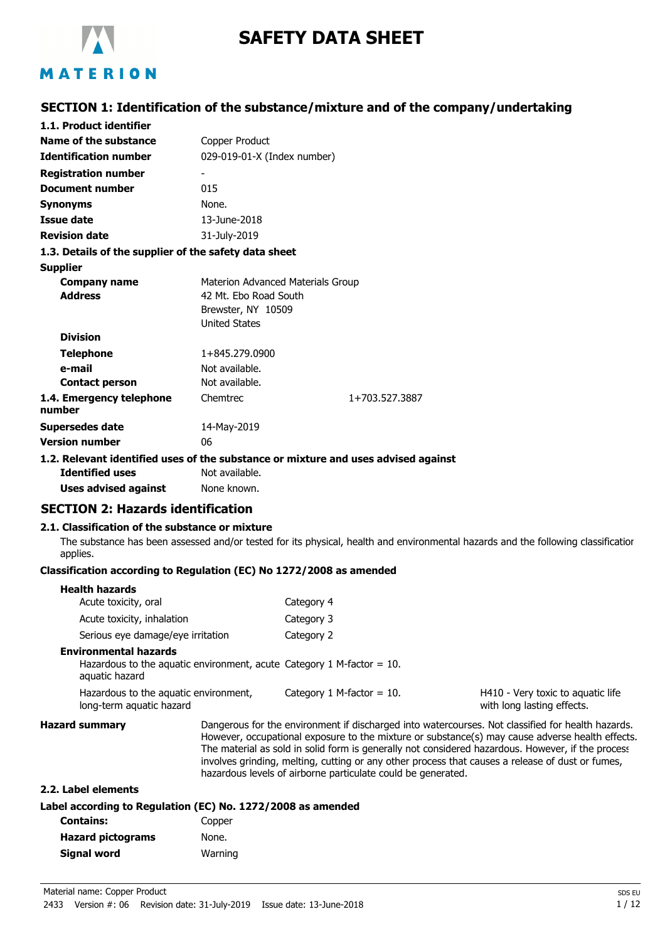

# **SAFETY DATA SHEET**

## **SECTION 1: Identification of the substance/mixture and of the company/undertaking**

| 1.1. Product identifier                                                            |                                   |                |
|------------------------------------------------------------------------------------|-----------------------------------|----------------|
| Name of the substance                                                              | Copper Product                    |                |
| <b>Identification number</b>                                                       | 029-019-01-X (Index number)       |                |
| <b>Registration number</b>                                                         |                                   |                |
| <b>Document number</b>                                                             | 015                               |                |
| <b>Synonyms</b>                                                                    | None.                             |                |
| <b>Issue date</b>                                                                  | 13-June-2018                      |                |
| <b>Revision date</b>                                                               | 31-July-2019                      |                |
| 1.3. Details of the supplier of the safety data sheet                              |                                   |                |
| <b>Supplier</b>                                                                    |                                   |                |
| <b>Company name</b>                                                                | Materion Advanced Materials Group |                |
| <b>Address</b>                                                                     | 42 Mt. Ebo Road South             |                |
|                                                                                    | Brewster, NY 10509                |                |
|                                                                                    | <b>United States</b>              |                |
| <b>Division</b>                                                                    |                                   |                |
| <b>Telephone</b>                                                                   | 1+845.279.0900                    |                |
| e-mail                                                                             | Not available.                    |                |
| <b>Contact person</b>                                                              | Not available.                    |                |
| 1.4. Emergency telephone<br>number                                                 | Chemtrec                          | 1+703.527.3887 |
| Supersedes date                                                                    | 14-May-2019                       |                |
| <b>Version number</b>                                                              | 06                                |                |
| 1.2. Relevant identified uses of the substance or mixture and uses advised against |                                   |                |
| <b>Identified uses</b>                                                             | Not available.                    |                |
| <b>Uses advised against</b>                                                        | None known.                       |                |

#### **SECTION 2: Hazards identification**

#### **2.1. Classification of the substance or mixture**

The substance has been assessed and/or tested for its physical, health and environmental hazards and the following classification applies.

#### **Classification according to Regulation (EC) No 1272/2008 as amended**

| <b>Health hazards</b>                                             |         |                                                                          |                                                                                                                                                                                                                                                                                                                                                                                                               |
|-------------------------------------------------------------------|---------|--------------------------------------------------------------------------|---------------------------------------------------------------------------------------------------------------------------------------------------------------------------------------------------------------------------------------------------------------------------------------------------------------------------------------------------------------------------------------------------------------|
| Acute toxicity, oral                                              |         | Category 4                                                               |                                                                                                                                                                                                                                                                                                                                                                                                               |
| Acute toxicity, inhalation                                        |         | Category 3                                                               |                                                                                                                                                                                                                                                                                                                                                                                                               |
| Serious eye damage/eye irritation                                 |         | Category 2                                                               |                                                                                                                                                                                                                                                                                                                                                                                                               |
| <b>Environmental hazards</b><br>aquatic hazard                    |         | Hazardous to the aquatic environment, acute Category 1 M-factor $= 10$ . |                                                                                                                                                                                                                                                                                                                                                                                                               |
| Hazardous to the aquatic environment,<br>long-term aquatic hazard |         | Category 1 M-factor $= 10$ .                                             | H410 - Very toxic to aquatic life<br>with long lasting effects.                                                                                                                                                                                                                                                                                                                                               |
| <b>Hazard summary</b>                                             |         | hazardous levels of airborne particulate could be generated.             | Dangerous for the environment if discharged into watercourses. Not classified for health hazards.<br>However, occupational exposure to the mixture or substance(s) may cause adverse health effects.<br>The material as sold in solid form is generally not considered hazardous. However, if the process<br>involves grinding, melting, cutting or any other process that causes a release of dust or fumes, |
| 2.2. Label elements                                               |         |                                                                          |                                                                                                                                                                                                                                                                                                                                                                                                               |
| Label according to Regulation (EC) No. 1272/2008 as amended       |         |                                                                          |                                                                                                                                                                                                                                                                                                                                                                                                               |
| <b>Contains:</b>                                                  | Copper  |                                                                          |                                                                                                                                                                                                                                                                                                                                                                                                               |
| <b>Hazard pictograms</b>                                          | None.   |                                                                          |                                                                                                                                                                                                                                                                                                                                                                                                               |
| Signal word                                                       | Warning |                                                                          |                                                                                                                                                                                                                                                                                                                                                                                                               |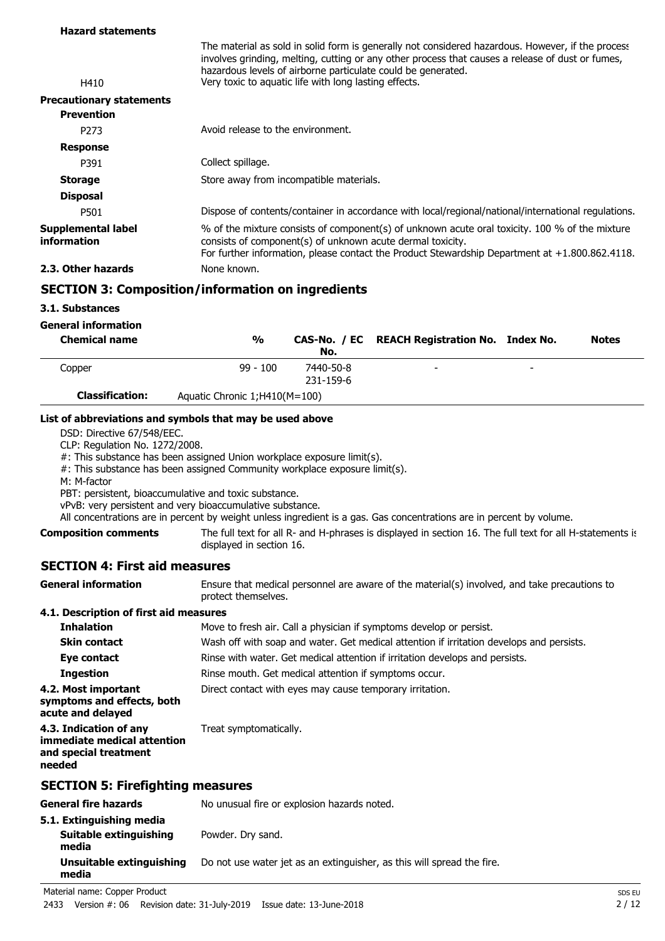| <b>Hazard statements</b> |
|--------------------------|
|                          |

| H410                                     | The material as sold in solid form is generally not considered hazardous. However, if the process<br>involves grinding, melting, cutting or any other process that causes a release of dust or fumes,<br>hazardous levels of airborne particulate could be generated.<br>Very toxic to aquatic life with long lasting effects. |
|------------------------------------------|--------------------------------------------------------------------------------------------------------------------------------------------------------------------------------------------------------------------------------------------------------------------------------------------------------------------------------|
| <b>Precautionary statements</b>          |                                                                                                                                                                                                                                                                                                                                |
| <b>Prevention</b>                        |                                                                                                                                                                                                                                                                                                                                |
| P <sub>273</sub>                         | Avoid release to the environment.                                                                                                                                                                                                                                                                                              |
| <b>Response</b>                          |                                                                                                                                                                                                                                                                                                                                |
| P391                                     | Collect spillage.                                                                                                                                                                                                                                                                                                              |
| <b>Storage</b>                           | Store away from incompatible materials.                                                                                                                                                                                                                                                                                        |
| <b>Disposal</b>                          |                                                                                                                                                                                                                                                                                                                                |
| P501                                     | Dispose of contents/container in accordance with local/regional/national/international regulations.                                                                                                                                                                                                                            |
| <b>Supplemental label</b><br>information | % of the mixture consists of component(s) of unknown acute oral toxicity. 100 % of the mixture<br>consists of component(s) of unknown acute dermal toxicity.<br>For further information, please contact the Product Stewardship Department at +1.800.862.4118.                                                                 |
| 2.3. Other hazards                       | None known.                                                                                                                                                                                                                                                                                                                    |

## **SECTION 3: Composition/information on ingredients**

#### **3.1. Substances**

#### **General information**

| <b>Chemical name</b>   | $\frac{0}{0}$                  | No.                    | CAS-No. / EC REACH Registration No. Index No. |   | <b>Notes</b> |
|------------------------|--------------------------------|------------------------|-----------------------------------------------|---|--------------|
| Copper                 | $99 - 100$                     | 7440-50-8<br>231-159-6 | -                                             | - |              |
| <b>Classification:</b> | Aquatic Chronic 1; H410(M=100) |                        |                                               |   |              |

#### **List of abbreviations and symbols that may be used above**

DSD: Directive 67/548/EEC.

CLP: Regulation No. 1272/2008.

#: This substance has been assigned Union workplace exposure limit(s).

#: This substance has been assigned Community workplace exposure limit(s).

M: M-factor

PBT: persistent, bioaccumulative and toxic substance.

vPvB: very persistent and very bioaccumulative substance.

All concentrations are in percent by weight unless ingredient is a gas. Gas concentrations are in percent by volume.

#### **Composition comments**

The full text for all R- and H-phrases is displayed in section 16. The full text for all H-statements is displayed in section 16.

#### **SECTION 4: First aid measures**

| <b>General information</b>                                                               | Ensure that medical personnel are aware of the material(s) involved, and take precautions to<br>protect themselves. |
|------------------------------------------------------------------------------------------|---------------------------------------------------------------------------------------------------------------------|
| 4.1. Description of first aid measures                                                   |                                                                                                                     |
| <b>Inhalation</b>                                                                        | Move to fresh air. Call a physician if symptoms develop or persist.                                                 |
| <b>Skin contact</b>                                                                      | Wash off with soap and water. Get medical attention if irritation develops and persists.                            |
| Eye contact                                                                              | Rinse with water. Get medical attention if irritation develops and persists.                                        |
| <b>Ingestion</b>                                                                         | Rinse mouth. Get medical attention if symptoms occur.                                                               |
| 4.2. Most important<br>symptoms and effects, both<br>acute and delayed                   | Direct contact with eyes may cause temporary irritation.                                                            |
| 4.3. Indication of any<br>immediate medical attention<br>and special treatment<br>needed | Treat symptomatically.                                                                                              |

#### **SECTION 5: Firefighting measures**

| <b>General fire hazards</b>                                 | No unusual fire or explosion hazards noted.                            |        |
|-------------------------------------------------------------|------------------------------------------------------------------------|--------|
| 5.1. Extinguishing media<br>Suitable extinguishing<br>media | Powder. Dry sand.                                                      |        |
| Unsuitable extinguishing<br>media                           | Do not use water jet as an extinguisher, as this will spread the fire. |        |
| Material name: Copper Product                               |                                                                        | SDS EU |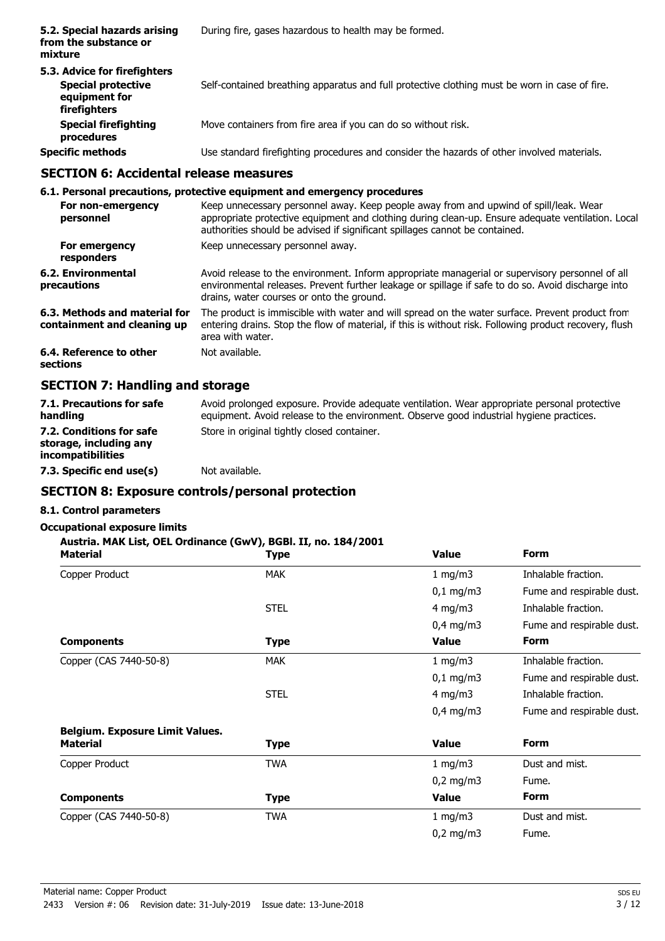| 5.2. Special hazards arising<br>from the substance or<br>mixture                           | During fire, gases hazardous to health may be formed.                                         |
|--------------------------------------------------------------------------------------------|-----------------------------------------------------------------------------------------------|
| 5.3. Advice for firefighters<br><b>Special protective</b><br>equipment for<br>firefighters | Self-contained breathing apparatus and full protective clothing must be worn in case of fire. |
| <b>Special firefighting</b><br>procedures                                                  | Move containers from fire area if you can do so without risk.                                 |
| <b>Specific methods</b>                                                                    | Use standard firefighting procedures and consider the hazards of other involved materials.    |

#### **SECTION 6: Accidental release measures**

#### **6.1. Personal precautions, protective equipment and emergency procedures**

| For non-emergency<br>personnel                               | Keep unnecessary personnel away. Keep people away from and upwind of spill/leak. Wear<br>appropriate protective equipment and clothing during clean-up. Ensure adequate ventilation. Local<br>authorities should be advised if significant spillages cannot be contained. |
|--------------------------------------------------------------|---------------------------------------------------------------------------------------------------------------------------------------------------------------------------------------------------------------------------------------------------------------------------|
| For emergency<br>responders                                  | Keep unnecessary personnel away.                                                                                                                                                                                                                                          |
| 6.2. Environmental<br>precautions                            | Avoid release to the environment. Inform appropriate managerial or supervisory personnel of all<br>environmental releases. Prevent further leakage or spillage if safe to do so. Avoid discharge into<br>drains, water courses or onto the ground.                        |
| 6.3. Methods and material for<br>containment and cleaning up | The product is immiscible with water and will spread on the water surface. Prevent product from<br>entering drains. Stop the flow of material, if this is without risk. Following product recovery, flush<br>area with water.                                             |
| 6.4. Reference to other<br>sections                          | Not available.                                                                                                                                                                                                                                                            |
| <b>SECTION 7: Handling and storage</b>                       |                                                                                                                                                                                                                                                                           |

| 7.1. Precautions for safe<br>handling                                          | Avoid prolonged exposure. Provide adequate ventilation. Wear appropriate personal protective<br>equipment. Avoid release to the environment. Observe good industrial hygiene practices. |
|--------------------------------------------------------------------------------|-----------------------------------------------------------------------------------------------------------------------------------------------------------------------------------------|
| 7.2. Conditions for safe<br>storage, including any<br><i>incompatibilities</i> | Store in original tightly closed container.                                                                                                                                             |
| 7.3. Specific end use(s)                                                       | Not available.                                                                                                                                                                          |

## **SECTION 8: Exposure controls/personal protection**

#### **8.1. Control parameters**

#### **Occupational exposure limits**

#### **Austria. MAK List, OEL Ordinance (GwV), BGBl. II, no. 184/2001**

| <b>Material</b>                        | <b>Type</b> | <b>Value</b> | <b>Form</b>               |
|----------------------------------------|-------------|--------------|---------------------------|
| Copper Product                         | <b>MAK</b>  | 1 mg/m $3$   | Inhalable fraction.       |
|                                        |             | $0,1$ mg/m3  | Fume and respirable dust. |
|                                        | <b>STEL</b> | 4 mg/m $3$   | Inhalable fraction.       |
|                                        |             | $0,4$ mg/m3  | Fume and respirable dust. |
| <b>Components</b>                      | <b>Type</b> | <b>Value</b> | <b>Form</b>               |
| Copper (CAS 7440-50-8)                 | <b>MAK</b>  | 1 mg/m $3$   | Inhalable fraction.       |
|                                        |             | $0,1$ mg/m3  | Fume and respirable dust. |
|                                        | <b>STEL</b> | 4 mg/m $3$   | Inhalable fraction.       |
|                                        |             | $0,4$ mg/m3  | Fume and respirable dust. |
| <b>Belgium. Exposure Limit Values.</b> |             |              |                           |
| <b>Material</b>                        | <b>Type</b> | <b>Value</b> | <b>Form</b>               |
| Copper Product                         | <b>TWA</b>  | 1 mg/m $3$   | Dust and mist.            |
|                                        |             | $0,2$ mg/m3  | Fume.                     |
| <b>Components</b>                      | <b>Type</b> | <b>Value</b> | Form                      |
| Copper (CAS 7440-50-8)                 | <b>TWA</b>  | 1 mg/m $3$   | Dust and mist.            |
|                                        |             | $0,2$ mg/m3  | Fume.                     |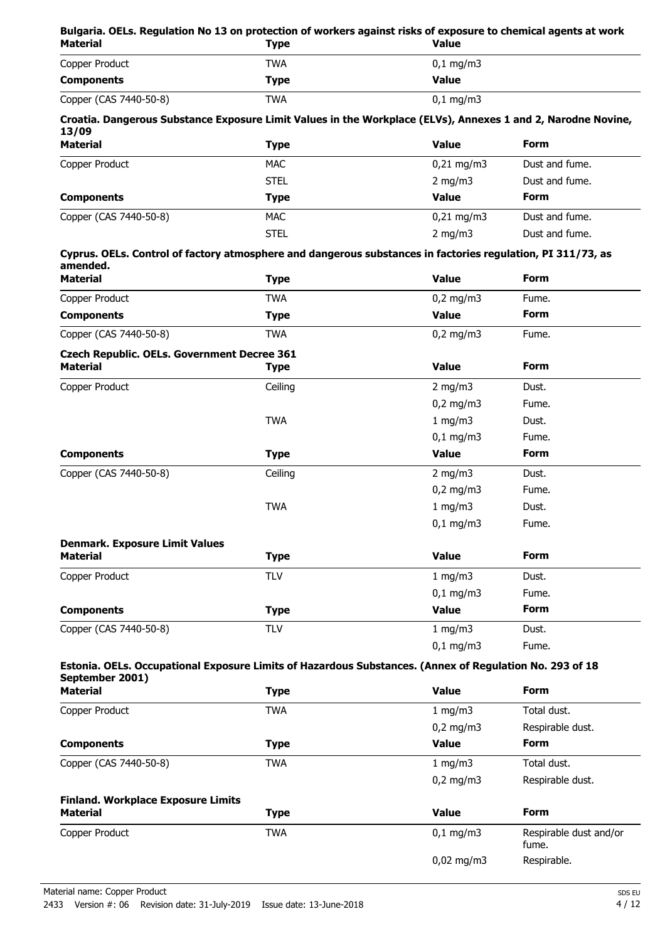| Bulgaria. OELs. Regulation No 13 on protection of workers against risks of exposure to chemical agents at work<br><b>Material</b> | <b>Type</b> | <b>Value</b>       |                                 |
|-----------------------------------------------------------------------------------------------------------------------------------|-------------|--------------------|---------------------------------|
| Copper Product                                                                                                                    | <b>TWA</b>  | $0,1$ mg/m3        |                                 |
| <b>Components</b>                                                                                                                 | <b>Type</b> | <b>Value</b>       |                                 |
| Copper (CAS 7440-50-8)                                                                                                            | <b>TWA</b>  | $0,1$ mg/m3        |                                 |
| Croatia. Dangerous Substance Exposure Limit Values in the Workplace (ELVs), Annexes 1 and 2, Narodne Novine,<br>13/09             |             |                    |                                 |
| <b>Material</b>                                                                                                                   | <b>Type</b> | <b>Value</b>       | <b>Form</b>                     |
| Copper Product                                                                                                                    | <b>MAC</b>  | $0,21$ mg/m3       | Dust and fume.                  |
|                                                                                                                                   | <b>STEL</b> | $2$ mg/m $3$       | Dust and fume.                  |
| <b>Components</b>                                                                                                                 | <b>Type</b> | <b>Value</b>       | <b>Form</b>                     |
| Copper (CAS 7440-50-8)                                                                                                            | <b>MAC</b>  | $0,21$ mg/m3       | Dust and fume.                  |
|                                                                                                                                   | <b>STEL</b> | $2$ mg/m $3$       | Dust and fume.                  |
| Cyprus. OELs. Control of factory atmosphere and dangerous substances in factories regulation, PI 311/73, as                       |             |                    |                                 |
| amended.                                                                                                                          |             |                    |                                 |
| <b>Material</b>                                                                                                                   | <b>Type</b> | <b>Value</b>       | <b>Form</b>                     |
| Copper Product                                                                                                                    | <b>TWA</b>  | $0,2 \text{ mg/m}$ | Fume.                           |
| <b>Components</b>                                                                                                                 | <b>Type</b> | <b>Value</b>       | <b>Form</b>                     |
| Copper (CAS 7440-50-8)                                                                                                            | <b>TWA</b>  | $0,2$ mg/m3        | Fume.                           |
| <b>Czech Republic. OELs. Government Decree 361</b>                                                                                |             |                    |                                 |
| <b>Material</b>                                                                                                                   | <b>Type</b> | <b>Value</b>       | <b>Form</b>                     |
| Copper Product                                                                                                                    | Ceiling     | $2$ mg/m $3$       | Dust.                           |
|                                                                                                                                   |             | $0,2$ mg/m3        | Fume.                           |
|                                                                                                                                   | <b>TWA</b>  | 1 mg/m3            | Dust.                           |
|                                                                                                                                   |             | $0,1$ mg/m3        | Fume.                           |
| <b>Components</b>                                                                                                                 | <b>Type</b> | <b>Value</b>       | <b>Form</b>                     |
| Copper (CAS 7440-50-8)                                                                                                            | Ceiling     | 2 mg/m $3$         | Dust.                           |
|                                                                                                                                   |             | $0,2$ mg/m3        | Fume.                           |
|                                                                                                                                   | <b>TWA</b>  | $1$ mg/m $3$       | Dust.                           |
|                                                                                                                                   |             | $0,1$ mg/m3        | Fume.                           |
| <b>Denmark. Exposure Limit Values</b>                                                                                             |             |                    |                                 |
| <b>Material</b>                                                                                                                   | <b>Type</b> | <b>Value</b>       | <b>Form</b>                     |
| Copper Product                                                                                                                    | <b>TLV</b>  | 1 mg/m $3$         | Dust.                           |
|                                                                                                                                   |             | $0,1$ mg/m3        | Fume.                           |
| <b>Components</b>                                                                                                                 | <b>Type</b> | <b>Value</b>       | <b>Form</b>                     |
| Copper (CAS 7440-50-8)                                                                                                            | <b>TLV</b>  | 1 mg/m $3$         | Dust.                           |
|                                                                                                                                   |             | $0,1$ mg/m3        | Fume.                           |
| Estonia. OELs. Occupational Exposure Limits of Hazardous Substances. (Annex of Regulation No. 293 of 18                           |             |                    |                                 |
| September 2001)                                                                                                                   |             |                    |                                 |
| <b>Material</b>                                                                                                                   | <b>Type</b> | <b>Value</b>       | <b>Form</b>                     |
| Copper Product                                                                                                                    | <b>TWA</b>  | 1 mg/m $3$         | Total dust.                     |
|                                                                                                                                   |             | $0,2$ mg/m3        | Respirable dust.                |
| <b>Components</b>                                                                                                                 | <b>Type</b> | <b>Value</b>       | <b>Form</b>                     |
| Copper (CAS 7440-50-8)                                                                                                            | <b>TWA</b>  | 1 mg/m $3$         | Total dust.                     |
|                                                                                                                                   |             | $0,2$ mg/m3        | Respirable dust.                |
| <b>Finland. Workplace Exposure Limits</b>                                                                                         |             |                    |                                 |
| <b>Material</b>                                                                                                                   | <b>Type</b> | <b>Value</b>       | <b>Form</b>                     |
| Copper Product                                                                                                                    | <b>TWA</b>  | $0,1$ mg/m3        | Respirable dust and/or<br>fume. |
|                                                                                                                                   |             | $0,02$ mg/m3       | Respirable.                     |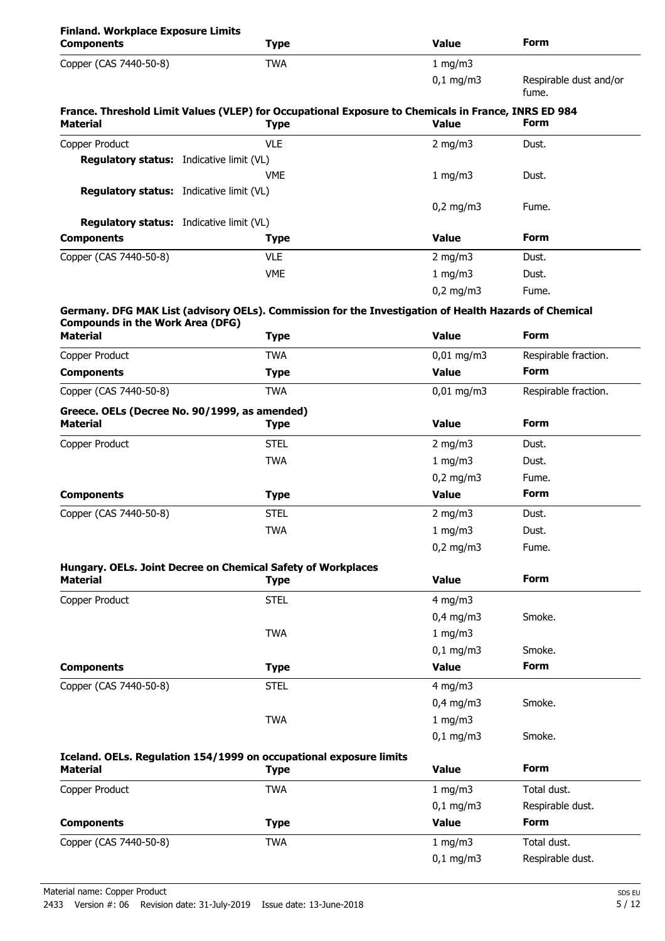| <b>Finland. Workplace Exposure Limits</b><br><b>Components</b>                                                                                   | <b>Type</b> | <b>Value</b>           | <b>Form</b>                     |
|--------------------------------------------------------------------------------------------------------------------------------------------------|-------------|------------------------|---------------------------------|
| Copper (CAS 7440-50-8)                                                                                                                           | <b>TWA</b>  | 1 mg/m $3$             |                                 |
|                                                                                                                                                  |             | $0,1$ mg/m3            | Respirable dust and/or<br>fume. |
| France. Threshold Limit Values (VLEP) for Occupational Exposure to Chemicals in France, INRS ED 984<br><b>Material</b>                           | <b>Type</b> | <b>Value</b>           | <b>Form</b>                     |
| Copper Product                                                                                                                                   | <b>VLE</b>  | 2 mg/m $3$             | Dust.                           |
| <b>Regulatory status:</b> Indicative limit (VL)                                                                                                  |             |                        |                                 |
|                                                                                                                                                  | <b>VME</b>  | 1 mg/m $3$             | Dust.                           |
| <b>Regulatory status:</b> Indicative limit (VL)                                                                                                  |             |                        |                                 |
|                                                                                                                                                  |             | $0,2$ mg/m3            | Fume.                           |
| <b>Regulatory status:</b> Indicative limit (VL)                                                                                                  |             |                        |                                 |
| <b>Components</b>                                                                                                                                | <b>Type</b> | <b>Value</b>           | <b>Form</b>                     |
| Copper (CAS 7440-50-8)                                                                                                                           | <b>VLE</b>  | 2 mg/m $3$             | Dust.                           |
|                                                                                                                                                  | <b>VME</b>  | 1 mg/m $3$             | Dust.                           |
|                                                                                                                                                  |             | $0,2$ mg/m3            | Fume.                           |
| Germany. DFG MAK List (advisory OELs). Commission for the Investigation of Health Hazards of Chemical<br><b>Compounds in the Work Area (DFG)</b> |             |                        |                                 |
| <b>Material</b>                                                                                                                                  | <b>Type</b> | <b>Value</b>           | <b>Form</b>                     |
| Copper Product                                                                                                                                   | <b>TWA</b>  | $0,01 \,\mathrm{mg/m}$ | Respirable fraction.            |
|                                                                                                                                                  |             |                        | <b>P</b> = ----                 |

| Copper Product                                               | TWA         | $0,01$ mg/m3       | Respirable fraction. |
|--------------------------------------------------------------|-------------|--------------------|----------------------|
| <b>Components</b>                                            | <b>Type</b> | <b>Value</b>       | <b>Form</b>          |
| Copper (CAS 7440-50-8)                                       | <b>TWA</b>  | $0,01$ mg/m3       | Respirable fraction. |
| Greece. OELs (Decree No. 90/1999, as amended)                |             |                    |                      |
| <b>Material</b>                                              | <b>Type</b> | Value              | <b>Form</b>          |
| Copper Product                                               | <b>STEL</b> | 2 mg/m $3$         | Dust.                |
|                                                              | <b>TWA</b>  | 1 mg/m3            | Dust.                |
|                                                              |             | $0,2$ mg/m3        | Fume.                |
| <b>Components</b>                                            | <b>Type</b> | <b>Value</b>       | <b>Form</b>          |
| Copper (CAS 7440-50-8)                                       | <b>STEL</b> | $2 \text{ mg/m}$   | Dust.                |
|                                                              | TWA         | 1 mg/m $3$         | Dust.                |
|                                                              |             | $0,2 \text{ mg/m}$ | Fume.                |
| Hungary. OELs. Joint Decree on Chemical Safety of Workplaces |             |                    |                      |

| <b>Material</b>        | <b>Type</b> | <b>Value</b> | Form        |  |
|------------------------|-------------|--------------|-------------|--|
| Copper Product         | <b>STEL</b> | $4$ mg/m $3$ |             |  |
|                        |             | $0,4$ mg/m3  | Smoke.      |  |
|                        | <b>TWA</b>  | 1 mg/m3      |             |  |
|                        |             | $0,1$ mg/m3  | Smoke.      |  |
| <b>Components</b>      | <b>Type</b> | <b>Value</b> | <b>Form</b> |  |
|                        |             |              |             |  |
| Copper (CAS 7440-50-8) | <b>STEL</b> | 4 mg/m $3$   |             |  |
|                        |             | $0,4$ mg/m3  | Smoke.      |  |
|                        | <b>TWA</b>  | 1 mg/m3      |             |  |

## **Iceland. OELs. Regulation 154/1999 on occupational exposure limits**

| <b>Material</b>        | <b>Type</b> | Value                | <b>Form</b>      |
|------------------------|-------------|----------------------|------------------|
| Copper Product         | TWA         | 1 mg/m $3$           | Total dust.      |
|                        |             | $0,1 \, \text{mg/m}$ | Respirable dust. |
|                        |             |                      | <b>Form</b>      |
| <b>Components</b>      | Type        | <b>Value</b>         |                  |
| Copper (CAS 7440-50-8) | TWA         | 1 mg/m $3$           | Total dust.      |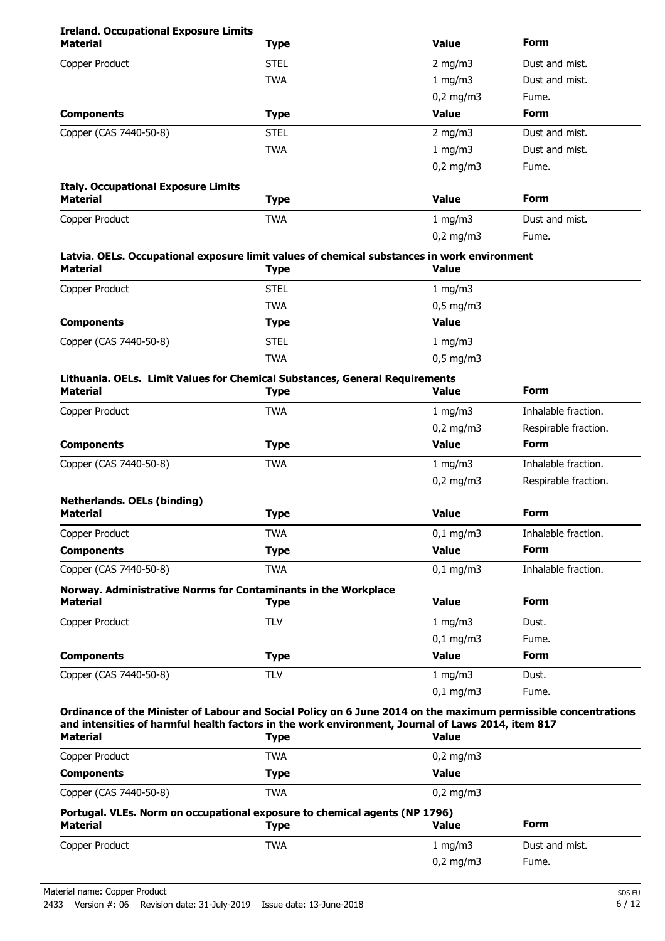#### **Ireland. Occupational Exposure Limits**

| <b>Material</b>                                                                                                | <b>Type</b> | <b>Value</b>   | <b>Form</b>          |
|----------------------------------------------------------------------------------------------------------------|-------------|----------------|----------------------|
| Copper Product                                                                                                 | <b>STEL</b> | $2$ mg/m $3$   | Dust and mist.       |
|                                                                                                                | <b>TWA</b>  | 1 mg/m3        | Dust and mist.       |
|                                                                                                                |             | $0,2$ mg/m3    | Fume.                |
| <b>Components</b>                                                                                              | <b>Type</b> | <b>Value</b>   | Form                 |
| Copper (CAS 7440-50-8)                                                                                         | <b>STEL</b> | $2$ mg/m $3$   | Dust and mist.       |
|                                                                                                                | <b>TWA</b>  | 1 mg/m3        | Dust and mist.       |
|                                                                                                                |             | $0,2$ mg/m3    | Fume.                |
| <b>Italy. Occupational Exposure Limits</b>                                                                     |             |                |                      |
| <b>Material</b>                                                                                                | <b>Type</b> | <b>Value</b>   | Form                 |
| Copper Product                                                                                                 | <b>TWA</b>  | 1 mg/m3        | Dust and mist.       |
|                                                                                                                |             | $0,2$ mg/m3    | Fume.                |
| Latvia. OELs. Occupational exposure limit values of chemical substances in work environment                    |             |                |                      |
| <b>Material</b>                                                                                                | <b>Type</b> | <b>Value</b>   |                      |
| Copper Product                                                                                                 | <b>STEL</b> | 1 mg/m3        |                      |
|                                                                                                                | <b>TWA</b>  | $0.5$ mg/m $3$ |                      |
| <b>Components</b>                                                                                              | <b>Type</b> | <b>Value</b>   |                      |
| Copper (CAS 7440-50-8)                                                                                         | <b>STEL</b> | 1 mg/m3        |                      |
|                                                                                                                | <b>TWA</b>  | $0,5$ mg/m3    |                      |
| Lithuania. OELs. Limit Values for Chemical Substances, General Requirements                                    |             |                |                      |
| <b>Material</b>                                                                                                | <b>Type</b> | <b>Value</b>   | Form                 |
| Copper Product                                                                                                 | <b>TWA</b>  | 1 mg/m3        | Inhalable fraction.  |
|                                                                                                                |             | $0,2$ mg/m3    | Respirable fraction. |
| <b>Components</b>                                                                                              | <b>Type</b> | <b>Value</b>   | <b>Form</b>          |
| Copper (CAS 7440-50-8)                                                                                         | <b>TWA</b>  | 1 mg/m3        | Inhalable fraction.  |
|                                                                                                                |             | $0,2$ mg/m3    | Respirable fraction. |
| <b>Netherlands. OELs (binding)</b>                                                                             |             |                |                      |
| <b>Material</b>                                                                                                | <b>Type</b> | Value          | Form                 |
| Copper Product                                                                                                 | <b>TWA</b>  | $0.1$ mg/m3    | Inhalable fraction.  |
| <b>Components</b>                                                                                              | <b>Type</b> | <b>Value</b>   | <b>Form</b>          |
| Copper (CAS 7440-50-8)                                                                                         | <b>TWA</b>  | $0,1$ mg/m3    | Inhalable fraction.  |
| Norway. Administrative Norms for Contaminants in the Workplace                                                 |             |                |                      |
| <b>Material</b>                                                                                                | <b>Type</b> | <b>Value</b>   | <b>Form</b>          |
| Copper Product                                                                                                 | <b>TLV</b>  | 1 mg/m3        | Dust.                |
|                                                                                                                |             | $0,1$ mg/m3    | Fume.                |
| <b>Components</b>                                                                                              | <b>Type</b> | <b>Value</b>   | <b>Form</b>          |
| Copper (CAS 7440-50-8)                                                                                         | <b>TLV</b>  | 1 mg/m3        | Dust.                |
|                                                                                                                |             | $0,1$ mg/m3    | Fume.                |
| Ordinance of the Minister of Labour and Social Policy on 6 June 2014 on the maximum permissible concentrations |             |                |                      |
| and intensities of harmful health factors in the work environment, Journal of Laws 2014, item 817              |             |                |                      |
| <b>Material</b>                                                                                                | <b>Type</b> | <b>Value</b>   |                      |
| Copper Product                                                                                                 | <b>TWA</b>  | $0,2$ mg/m3    |                      |
| <b>Components</b>                                                                                              | <b>Type</b> | <b>Value</b>   |                      |
| Copper (CAS 7440-50-8)                                                                                         | <b>TWA</b>  | $0,2$ mg/m3    |                      |
| Portugal. VLEs. Norm on occupational exposure to chemical agents (NP 1796)                                     |             |                |                      |
| <b>Material</b>                                                                                                | <b>Type</b> | <b>Value</b>   | Form                 |
| Copper Product                                                                                                 | <b>TWA</b>  | 1 mg/m3        | Dust and mist.       |
|                                                                                                                |             | $0,2$ mg/m3    | Fume.                |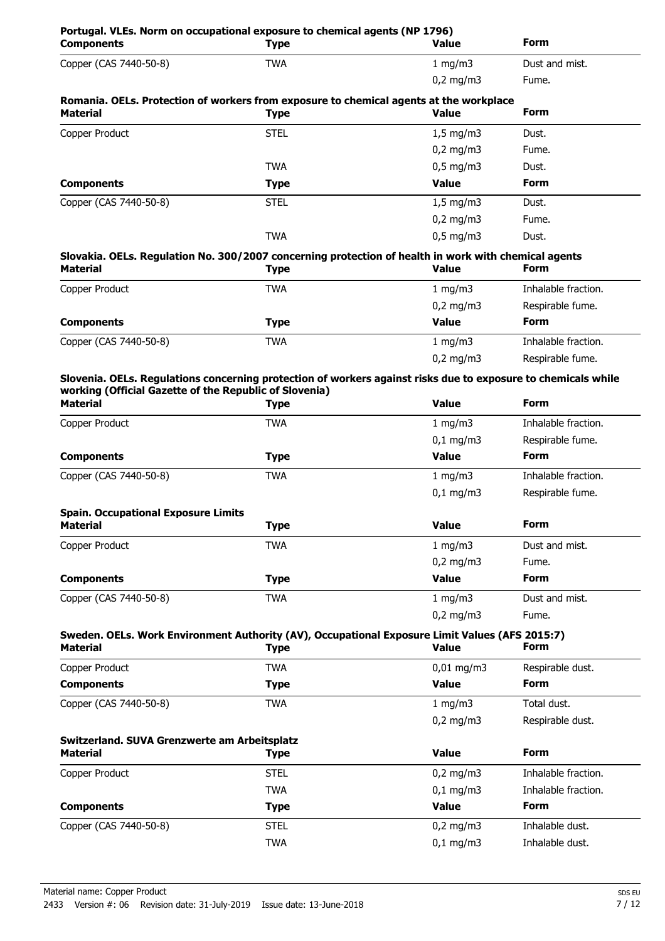| Portugal. VLEs. Norm on occupational exposure to chemical agents (NP 1796)<br><b>Components</b>                                                                         | Type        | <b>Value</b>   | Form                |
|-------------------------------------------------------------------------------------------------------------------------------------------------------------------------|-------------|----------------|---------------------|
| Copper (CAS 7440-50-8)                                                                                                                                                  | <b>TWA</b>  | 1 mg/m3        | Dust and mist.      |
|                                                                                                                                                                         |             | $0,2$ mg/m3    | Fume.               |
| Romania. OELs. Protection of workers from exposure to chemical agents at the workplace<br><b>Material</b>                                                               | <b>Type</b> | <b>Value</b>   | <b>Form</b>         |
| Copper Product                                                                                                                                                          | <b>STEL</b> | $1,5$ mg/m3    | Dust.               |
|                                                                                                                                                                         |             | $0,2$ mg/m $3$ | Fume.               |
|                                                                                                                                                                         | <b>TWA</b>  | $0,5$ mg/m3    | Dust.               |
| <b>Components</b>                                                                                                                                                       | <b>Type</b> | <b>Value</b>   | <b>Form</b>         |
| Copper (CAS 7440-50-8)                                                                                                                                                  | <b>STEL</b> | $1,5$ mg/m3    | Dust.               |
|                                                                                                                                                                         |             | $0,2$ mg/m3    | Fume.               |
|                                                                                                                                                                         | <b>TWA</b>  | $0,5$ mg/m3    | Dust.               |
| Slovakia. OELs. Regulation No. 300/2007 concerning protection of health in work with chemical agents<br><b>Material</b>                                                 | <b>Type</b> | Value          | Form                |
| Copper Product                                                                                                                                                          | <b>TWA</b>  | 1 mg/m3        | Inhalable fraction. |
|                                                                                                                                                                         |             | $0,2$ mg/m3    | Respirable fume.    |
| <b>Components</b>                                                                                                                                                       | <b>Type</b> | <b>Value</b>   | <b>Form</b>         |
| Copper (CAS 7440-50-8)                                                                                                                                                  | <b>TWA</b>  | 1 mg/m3        | Inhalable fraction. |
|                                                                                                                                                                         |             | $0,2$ mg/m3    | Respirable fume.    |
| Slovenia. OELs. Regulations concerning protection of workers against risks due to exposure to chemicals while<br>working (Official Gazette of the Republic of Slovenia) |             |                |                     |
| <b>Material</b>                                                                                                                                                         | <b>Type</b> | <b>Value</b>   | <b>Form</b>         |
| Copper Product                                                                                                                                                          | <b>TWA</b>  | 1 mg/m3        | Inhalable fraction. |
|                                                                                                                                                                         |             | $0,1$ mg/m3    | Respirable fume.    |
| <b>Components</b>                                                                                                                                                       | <b>Type</b> | <b>Value</b>   | <b>Form</b>         |
| Copper (CAS 7440-50-8)                                                                                                                                                  | <b>TWA</b>  | 1 mg/m3        | Inhalable fraction. |
|                                                                                                                                                                         |             | $0,1$ mg/m3    | Respirable fume.    |
| <b>Spain. Occupational Exposure Limits</b><br><b>Material</b>                                                                                                           | Type        | <b>Value</b>   | Form                |
| Copper Product                                                                                                                                                          | <b>TWA</b>  | 1 mg/m $3$     | Dust and mist.      |
|                                                                                                                                                                         |             | $0,2$ mg/m3    | Fume.               |
| <b>Components</b>                                                                                                                                                       | <b>Type</b> | <b>Value</b>   | <b>Form</b>         |
| Copper (CAS 7440-50-8)                                                                                                                                                  | <b>TWA</b>  | 1 mg/m3        | Dust and mist.      |
|                                                                                                                                                                         |             | $0,2$ mg/m3    | Fume.               |
| Sweden. OELs. Work Environment Authority (AV), Occupational Exposure Limit Values (AFS 2015:7)<br><b>Material</b>                                                       | <b>Type</b> | <b>Value</b>   | Form                |
| Copper Product                                                                                                                                                          | <b>TWA</b>  | $0,01$ mg/m3   | Respirable dust.    |
| <b>Components</b>                                                                                                                                                       | <b>Type</b> | <b>Value</b>   | <b>Form</b>         |
| Copper (CAS 7440-50-8)                                                                                                                                                  | <b>TWA</b>  | 1 mg/m3        | Total dust.         |
|                                                                                                                                                                         |             | $0,2$ mg/m3    | Respirable dust.    |
| Switzerland. SUVA Grenzwerte am Arbeitsplatz<br><b>Material</b>                                                                                                         | <b>Type</b> | <b>Value</b>   | <b>Form</b>         |
| Copper Product                                                                                                                                                          | <b>STEL</b> | $0,2$ mg/m3    | Inhalable fraction. |
|                                                                                                                                                                         | <b>TWA</b>  | $0,1$ mg/m3    | Inhalable fraction. |
| <b>Components</b>                                                                                                                                                       | <b>Type</b> | <b>Value</b>   | <b>Form</b>         |
| Copper (CAS 7440-50-8)                                                                                                                                                  | <b>STEL</b> | $0,2$ mg/m3    | Inhalable dust.     |
|                                                                                                                                                                         | <b>TWA</b>  | $0,1$ mg/m3    | Inhalable dust.     |
|                                                                                                                                                                         |             |                |                     |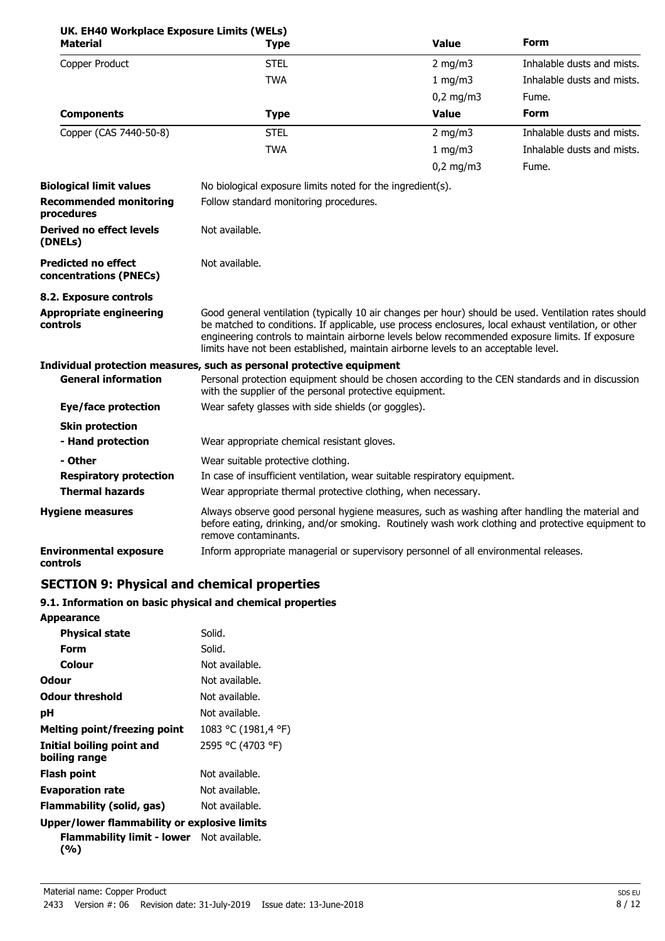| UK. EH40 Workplace Exposure Limits (WELs)<br><b>Material</b> | Type                                                                                                                                                                                                                                                                                                                                                                                                   | <b>Value</b> | <b>Form</b>                |
|--------------------------------------------------------------|--------------------------------------------------------------------------------------------------------------------------------------------------------------------------------------------------------------------------------------------------------------------------------------------------------------------------------------------------------------------------------------------------------|--------------|----------------------------|
| Copper Product                                               | <b>STEL</b>                                                                                                                                                                                                                                                                                                                                                                                            | $2$ mg/m $3$ | Inhalable dusts and mists. |
|                                                              | <b>TWA</b>                                                                                                                                                                                                                                                                                                                                                                                             | 1 mg/m3      | Inhalable dusts and mists. |
|                                                              |                                                                                                                                                                                                                                                                                                                                                                                                        | $0,2$ mg/m3  | Fume.                      |
| <b>Components</b>                                            | <b>Type</b>                                                                                                                                                                                                                                                                                                                                                                                            | <b>Value</b> | <b>Form</b>                |
| Copper (CAS 7440-50-8)                                       | <b>STEL</b>                                                                                                                                                                                                                                                                                                                                                                                            | $2$ mg/m $3$ | Inhalable dusts and mists. |
|                                                              | <b>TWA</b>                                                                                                                                                                                                                                                                                                                                                                                             | 1 mg/m3      | Inhalable dusts and mists. |
|                                                              |                                                                                                                                                                                                                                                                                                                                                                                                        | $0,2$ mg/m3  | Fume.                      |
| <b>Biological limit values</b>                               | No biological exposure limits noted for the ingredient(s).                                                                                                                                                                                                                                                                                                                                             |              |                            |
| <b>Recommended monitoring</b><br>procedures                  | Follow standard monitoring procedures.                                                                                                                                                                                                                                                                                                                                                                 |              |                            |
| <b>Derived no effect levels</b><br>(DNELs)                   | Not available.                                                                                                                                                                                                                                                                                                                                                                                         |              |                            |
| <b>Predicted no effect</b><br>concentrations (PNECs)         | Not available.                                                                                                                                                                                                                                                                                                                                                                                         |              |                            |
| 8.2. Exposure controls                                       |                                                                                                                                                                                                                                                                                                                                                                                                        |              |                            |
| <b>Appropriate engineering</b><br>controls                   | Good general ventilation (typically 10 air changes per hour) should be used. Ventilation rates should<br>be matched to conditions. If applicable, use process enclosures, local exhaust ventilation, or other<br>engineering controls to maintain airborne levels below recommended exposure limits. If exposure<br>limits have not been established, maintain airborne levels to an acceptable level. |              |                            |
|                                                              | Individual protection measures, such as personal protective equipment                                                                                                                                                                                                                                                                                                                                  |              |                            |
| <b>General information</b>                                   | Personal protection equipment should be chosen according to the CEN standards and in discussion<br>with the supplier of the personal protective equipment.                                                                                                                                                                                                                                             |              |                            |
| Eye/face protection                                          | Wear safety glasses with side shields (or goggles).                                                                                                                                                                                                                                                                                                                                                    |              |                            |
| <b>Skin protection</b>                                       |                                                                                                                                                                                                                                                                                                                                                                                                        |              |                            |
| - Hand protection                                            | Wear appropriate chemical resistant gloves.                                                                                                                                                                                                                                                                                                                                                            |              |                            |
| - Other                                                      | Wear suitable protective clothing.                                                                                                                                                                                                                                                                                                                                                                     |              |                            |
| <b>Respiratory protection</b>                                | In case of insufficient ventilation, wear suitable respiratory equipment.                                                                                                                                                                                                                                                                                                                              |              |                            |
| <b>Thermal hazards</b>                                       | Wear appropriate thermal protective clothing, when necessary.                                                                                                                                                                                                                                                                                                                                          |              |                            |
| <b>Hygiene measures</b>                                      | Always observe good personal hygiene measures, such as washing after handling the material and<br>before eating, drinking, and/or smoking. Routinely wash work clothing and protective equipment to<br>remove contaminants.                                                                                                                                                                            |              |                            |
| <b>Environmental exposure</b><br>controls                    | Inform appropriate managerial or supervisory personnel of all environmental releases.                                                                                                                                                                                                                                                                                                                  |              |                            |

## **SECTION 9: Physical and chemical properties**

## **9.1. Information on basic physical and chemical properties**

| <b>Appearance</b>                            |                     |
|----------------------------------------------|---------------------|
| <b>Physical state</b>                        | Solid.              |
| Form                                         | Solid.              |
| Colour                                       | Not available.      |
| Odour                                        | Not available.      |
| Odour threshold                              | Not available.      |
| рH                                           | Not available.      |
| <b>Melting point/freezing point</b>          | 1083 °C (1981,4 °F) |
| Initial boiling point and<br>boiling range   | 2595 °C (4703 °F)   |
| Flash point                                  | Not available.      |
| <b>Evaporation rate</b>                      | Not available.      |
| Flammability (solid, gas)                    | Not available.      |
| Upper/lower flammability or explosive limits |                     |

**Flammability limit - lower** Not available. **(%)**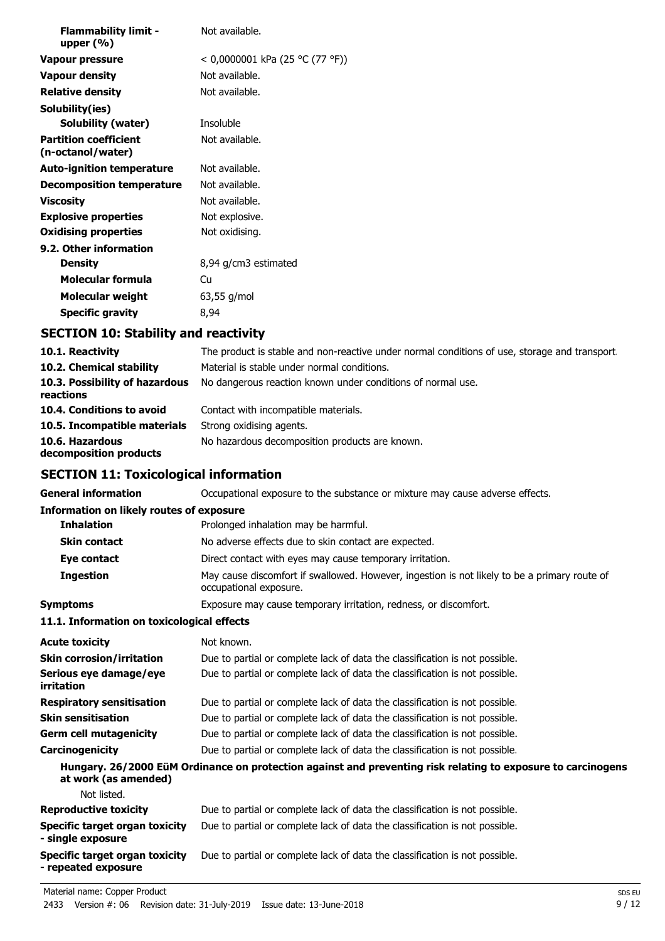| <b>Flammability limit -</b>                       | Not available.                  |
|---------------------------------------------------|---------------------------------|
| upper $(% )$                                      |                                 |
| Vapour pressure                                   | < 0,0000001 kPa (25 °C (77 °F)) |
| Vapour density                                    | Not available.                  |
| <b>Relative density</b>                           | Not available.                  |
| Solubility(ies)                                   |                                 |
| Solubility (water)                                | <b>Insoluble</b>                |
| <b>Partition coefficient</b><br>(n-octanol/water) | Not available.                  |
| <b>Auto-ignition temperature</b>                  | Not available.                  |
| <b>Decomposition temperature</b>                  | Not available.                  |
| Viscosity                                         | Not available.                  |
| <b>Explosive properties</b>                       | Not explosive.                  |
| <b>Oxidising properties</b>                       | Not oxidising.                  |
| 9.2. Other information                            |                                 |
| <b>Density</b>                                    | 8,94 g/cm3 estimated            |
| Molecular formula                                 | Cп                              |
| Molecular weight                                  | $63,55$ g/mol                   |
| Specific gravity                                  | 8,94                            |

## **SECTION 10: Stability and reactivity**

| 10.1. Reactivity                            | The product is stable and non-reactive under normal conditions of use, storage and transport |
|---------------------------------------------|----------------------------------------------------------------------------------------------|
| 10.2. Chemical stability                    | Material is stable under normal conditions.                                                  |
| 10.3. Possibility of hazardous<br>reactions | No dangerous reaction known under conditions of normal use.                                  |
| 10.4. Conditions to avoid                   | Contact with incompatible materials.                                                         |
| 10.5. Incompatible materials                | Strong oxidising agents.                                                                     |
| 10.6. Hazardous<br>decomposition products   | No hazardous decomposition products are known.                                               |

## **SECTION 11: Toxicological information**

| <b>General information</b>                                   | Occupational exposure to the substance or mixture may cause adverse effects.                                           |  |  |
|--------------------------------------------------------------|------------------------------------------------------------------------------------------------------------------------|--|--|
| <b>Information on likely routes of exposure</b>              |                                                                                                                        |  |  |
| <b>Inhalation</b>                                            | Prolonged inhalation may be harmful.                                                                                   |  |  |
| <b>Skin contact</b>                                          | No adverse effects due to skin contact are expected.                                                                   |  |  |
| Eye contact                                                  | Direct contact with eyes may cause temporary irritation.                                                               |  |  |
| <b>Ingestion</b>                                             | May cause discomfort if swallowed. However, ingestion is not likely to be a primary route of<br>occupational exposure. |  |  |
| <b>Symptoms</b>                                              | Exposure may cause temporary irritation, redness, or discomfort.                                                       |  |  |
| 11.1. Information on toxicological effects                   |                                                                                                                        |  |  |
| <b>Acute toxicity</b>                                        | Not known.                                                                                                             |  |  |
| <b>Skin corrosion/irritation</b>                             | Due to partial or complete lack of data the classification is not possible.                                            |  |  |
| Serious eye damage/eye<br>irritation                         | Due to partial or complete lack of data the classification is not possible.                                            |  |  |
| <b>Respiratory sensitisation</b>                             | Due to partial or complete lack of data the classification is not possible.                                            |  |  |
| <b>Skin sensitisation</b>                                    | Due to partial or complete lack of data the classification is not possible.                                            |  |  |
| <b>Germ cell mutagenicity</b>                                | Due to partial or complete lack of data the classification is not possible.                                            |  |  |
| Carcinogenicity                                              | Due to partial or complete lack of data the classification is not possible.                                            |  |  |
| at work (as amended)<br>Not listed.                          | Hungary. 26/2000 EüM Ordinance on protection against and preventing risk relating to exposure to carcinogens           |  |  |
| <b>Reproductive toxicity</b>                                 | Due to partial or complete lack of data the classification is not possible.                                            |  |  |
| <b>Specific target organ toxicity</b><br>- single exposure   | Due to partial or complete lack of data the classification is not possible.                                            |  |  |
| <b>Specific target organ toxicity</b><br>- repeated exposure | Due to partial or complete lack of data the classification is not possible.                                            |  |  |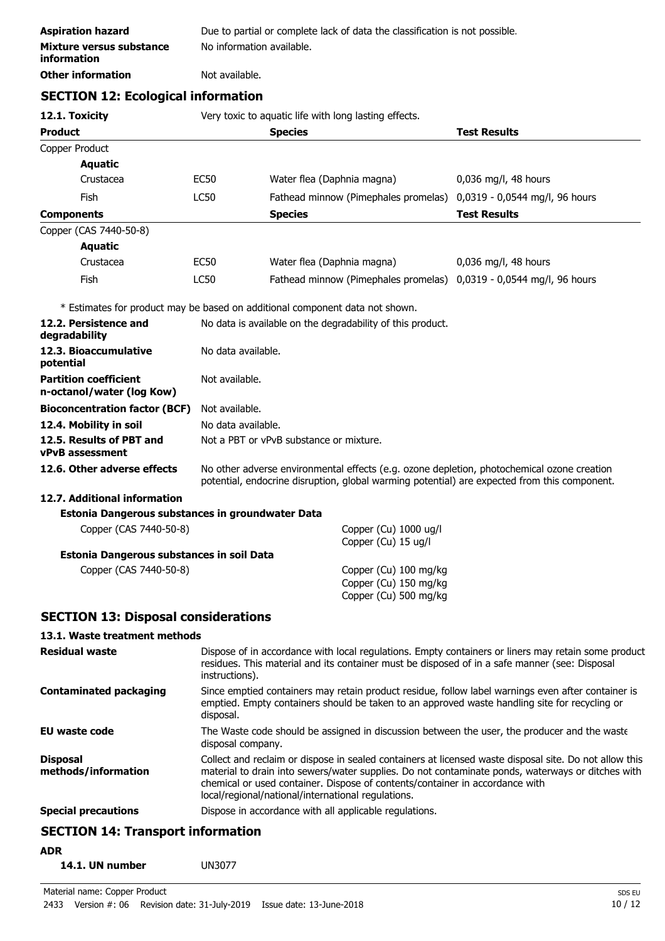| <b>Aspiration hazard</b>                                  |                           | Due to partial or complete lack of data the classification is not possible.                                                                                                                |                        |  |
|-----------------------------------------------------------|---------------------------|--------------------------------------------------------------------------------------------------------------------------------------------------------------------------------------------|------------------------|--|
| Mixture versus substance<br>information                   | No information available. |                                                                                                                                                                                            |                        |  |
| <b>Other information</b>                                  | Not available.            |                                                                                                                                                                                            |                        |  |
| <b>SECTION 12: Ecological information</b>                 |                           |                                                                                                                                                                                            |                        |  |
| 12.1. Toxicity                                            |                           | Very toxic to aquatic life with long lasting effects.                                                                                                                                      |                        |  |
| <b>Product</b>                                            |                           | <b>Species</b>                                                                                                                                                                             | <b>Test Results</b>    |  |
| Copper Product                                            |                           |                                                                                                                                                                                            |                        |  |
| <b>Aquatic</b>                                            |                           |                                                                                                                                                                                            |                        |  |
| Crustacea                                                 | <b>EC50</b>               | Water flea (Daphnia magna)                                                                                                                                                                 | $0,036$ mg/l, 48 hours |  |
| <b>Fish</b>                                               | <b>LC50</b>               | Fathead minnow (Pimephales promelas) 0,0319 - 0,0544 mg/l, 96 hours                                                                                                                        |                        |  |
| <b>Components</b>                                         |                           | <b>Species</b>                                                                                                                                                                             | <b>Test Results</b>    |  |
| Copper (CAS 7440-50-8)                                    |                           |                                                                                                                                                                                            |                        |  |
| <b>Aquatic</b>                                            |                           |                                                                                                                                                                                            |                        |  |
| Crustacea                                                 | <b>EC50</b>               | Water flea (Daphnia magna)                                                                                                                                                                 | $0,036$ mg/l, 48 hours |  |
| <b>Fish</b>                                               | <b>LC50</b>               | Fathead minnow (Pimephales promelas) 0,0319 - 0,0544 mg/l, 96 hours                                                                                                                        |                        |  |
| 12.2. Persistence and                                     |                           | * Estimates for product may be based on additional component data not shown.<br>No data is available on the degradability of this product.                                                 |                        |  |
| degradability                                             |                           |                                                                                                                                                                                            |                        |  |
| 12.3. Bioaccumulative<br>potential                        | No data available.        |                                                                                                                                                                                            |                        |  |
| <b>Partition coefficient</b><br>n-octanol/water (log Kow) | Not available.            |                                                                                                                                                                                            |                        |  |
| <b>Bioconcentration factor (BCF)</b>                      | Not available.            |                                                                                                                                                                                            |                        |  |
| 12.4. Mobility in soil                                    | No data available.        |                                                                                                                                                                                            |                        |  |
| 12.5. Results of PBT and<br><b>vPvB</b> assessment        |                           | Not a PBT or vPvB substance or mixture.                                                                                                                                                    |                        |  |
| 12.6. Other adverse effects                               |                           | No other adverse environmental effects (e.g. ozone depletion, photochemical ozone creation<br>potential, endocrine disruption, global warming potential) are expected from this component. |                        |  |
| 12.7. Additional information                              |                           |                                                                                                                                                                                            |                        |  |
| Estonia Dangerous substances in groundwater Data          |                           |                                                                                                                                                                                            |                        |  |
| Copper (CAS 7440-50-8)                                    |                           | Copper (Cu) 1000 ug/l<br>Copper (Cu) 15 ug/l                                                                                                                                               |                        |  |
| Estonia Dangerous substances in soil Data                 |                           |                                                                                                                                                                                            |                        |  |
| Copper (CAS 7440-50-8)                                    |                           | Copper (Cu) 100 mg/kg<br>Copper (Cu) 150 mg/kg<br>Copper (Cu) 500 mg/kg                                                                                                                    |                        |  |

## **SECTION 13: Disposal considerations**

### **13.1. Waste treatment methods**

| <b>Residual waste</b>                  | Dispose of in accordance with local regulations. Empty containers or liners may retain some product<br>residues. This material and its container must be disposed of in a safe manner (see: Disposal<br>instructions).                                                                                                                            |  |
|----------------------------------------|---------------------------------------------------------------------------------------------------------------------------------------------------------------------------------------------------------------------------------------------------------------------------------------------------------------------------------------------------|--|
| <b>Contaminated packaging</b>          | Since emptied containers may retain product residue, follow label warnings even after container is<br>emptied. Empty containers should be taken to an approved waste handling site for recycling or<br>disposal.                                                                                                                                  |  |
| EU waste code                          | The Waste code should be assigned in discussion between the user, the producer and the waste<br>disposal company.                                                                                                                                                                                                                                 |  |
| <b>Disposal</b><br>methods/information | Collect and reclaim or dispose in sealed containers at licensed waste disposal site. Do not allow this<br>material to drain into sewers/water supplies. Do not contaminate ponds, waterways or ditches with<br>chemical or used container. Dispose of contents/container in accordance with<br>local/regional/national/international regulations. |  |
| <b>Special precautions</b>             | Dispose in accordance with all applicable regulations.                                                                                                                                                                                                                                                                                            |  |
|                                        |                                                                                                                                                                                                                                                                                                                                                   |  |

#### **SECTION 14: Transport information**

**ADR**

### **14.1. UN number** UN3077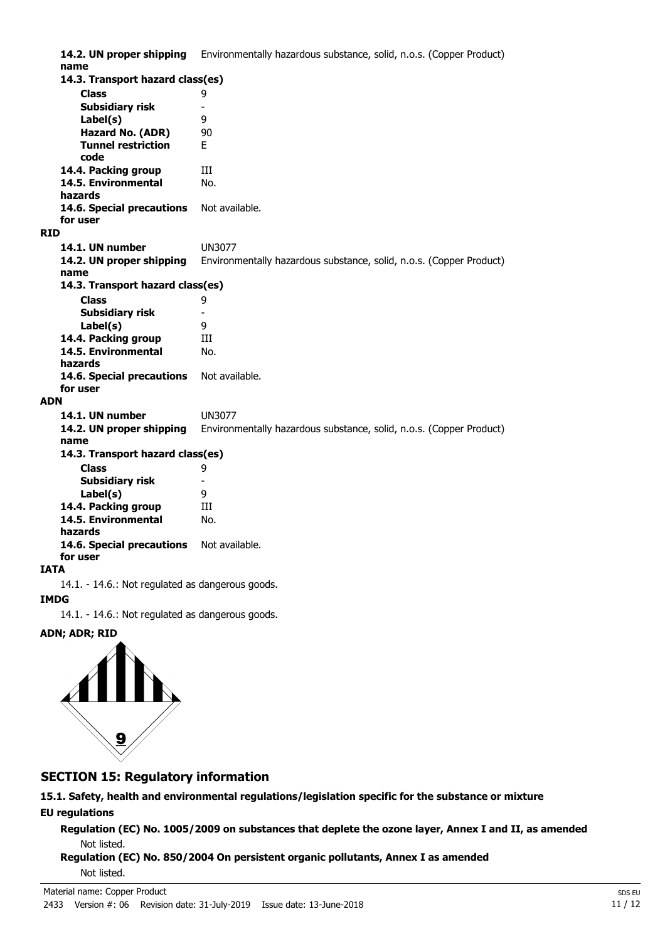14.2. UN proper shipping Environmentally hazardous substance, solid, n.o.s. (Copper Product) **name Class** 9 **14.3. Transport hazard class(es) Subsidiary risk** - **Label(s)** 9 **Hazard No. (ADR)** 90 **Tunnel restriction** E **code** 14.4. Packing group **III 14.5. Environmental** No. **hazards** 14.6. Special precautions Not available. **for user RID 14.1. UN number** UN3077 **14.2. UN proper shipping** Environmentally hazardous substance, solid, n.o.s. (Copper Product) **name Class** 9 **14.3. Transport hazard class(es) Subsidiary risk** and the set of the set of the set of the set of the set of the set of the set of the set of the set of the set of the set of the set of the set of the set of the set of the set of the set of the set of th Label(s) **14.4. Packing group III 14.5. Environmental** No. **hazards** 14.6. Special precautions Not available. **for user ADN 14.1. UN number** UN3077 **14.2. UN proper shipping** Environmentally hazardous substance, solid, n.o.s. (Copper Product) **name Class** 9 **14.3. Transport hazard class(es) Subsidiary risk** - **Label(s)** 9 **14.4. Packing group III 14.5. Environmental** No. **hazards** 14.6. Special precautions Not available. **for user IATA**

14.1. - 14.6.: Not regulated as dangerous goods.

#### **IMDG**

14.1. - 14.6.: Not regulated as dangerous goods.

#### **ADN; ADR; RID**



## **SECTION 15: Regulatory information**

**15.1. Safety, health and environmental regulations/legislation specific for the substance or mixture EU regulations**

**Regulation (EC) No. 1005/2009 on substances that deplete the ozone layer, Annex I and II, as amended** Not listed.

**Regulation (EC) No. 850/2004 On persistent organic pollutants, Annex I as amended** Not listed.